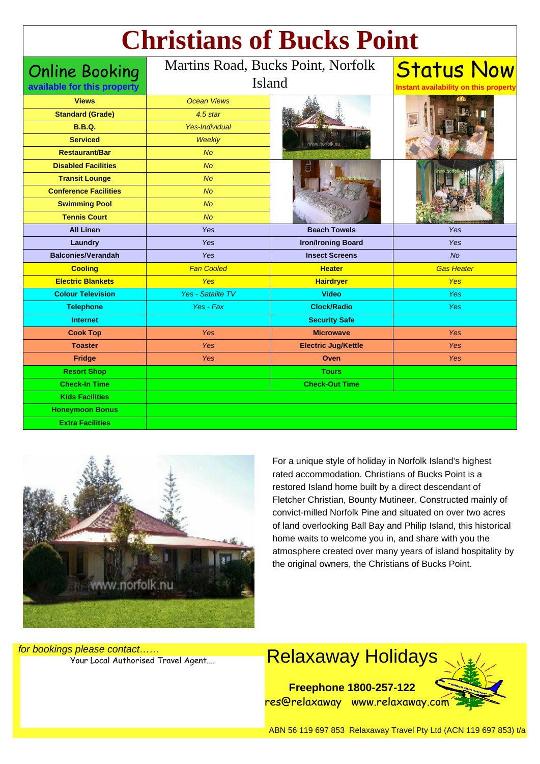## **Christians of Bucks Point**

| <b>Online Booking</b><br>available for this property | Martins Road, Bucks Point, Norfolk<br>Island |                            | <b>Status Now</b><br>Instant availability on this property |
|------------------------------------------------------|----------------------------------------------|----------------------------|------------------------------------------------------------|
| <b>Views</b>                                         | <b>Ocean Views</b>                           |                            |                                                            |
| <b>Standard (Grade)</b>                              | 4.5 star                                     | / norfolk.nu               |                                                            |
| <b>B.B.Q.</b>                                        | <b>Yes-Individual</b>                        |                            |                                                            |
| <b>Serviced</b>                                      | <b>Weekly</b>                                |                            |                                                            |
| <b>Restaurant/Bar</b>                                | <b>No</b>                                    |                            |                                                            |
| <b>Disabled Facilities</b>                           | N <sub>O</sub>                               |                            |                                                            |
| <b>Transit Lounge</b>                                | <b>No</b>                                    |                            |                                                            |
| <b>Conference Facilities</b>                         | No                                           |                            |                                                            |
| <b>Swimming Pool</b>                                 | <b>No</b>                                    |                            |                                                            |
| <b>Tennis Court</b>                                  | No                                           |                            |                                                            |
| <b>All Linen</b>                                     | Yes                                          | <b>Beach Towels</b>        | Yes                                                        |
| Laundry                                              | Yes                                          | <b>Iron/Ironing Board</b>  | Yes                                                        |
| <b>Balconies/Verandah</b>                            | Yes                                          | <b>Insect Screens</b>      | <b>No</b>                                                  |
| <b>Cooling</b>                                       | <b>Fan Cooled</b>                            | <b>Heater</b>              | <b>Gas Heater</b>                                          |
| <b>Electric Blankets</b>                             | <b>Yes</b>                                   | <b>Hairdryer</b>           | <b>Yes</b>                                                 |
| <b>Colour Television</b>                             | <b>Yes - Satalite TV</b>                     | <b>Video</b>               | <b>Yes</b>                                                 |
| <b>Telephone</b>                                     | Yes - Fax                                    | <b>Clock/Radio</b>         | <b>Yes</b>                                                 |
| <b>Internet</b>                                      |                                              | <b>Security Safe</b>       |                                                            |
| <b>Cook Top</b>                                      | <b>Yes</b>                                   | <b>Microwave</b>           | Yes                                                        |
| <b>Toaster</b>                                       | <b>Yes</b>                                   | <b>Electric Jug/Kettle</b> | Yes                                                        |
| <b>Fridge</b>                                        | Yes                                          | Oven                       | Yes                                                        |
| <b>Resort Shop</b>                                   |                                              | <b>Tours</b>               |                                                            |
| <b>Check-In Time</b>                                 |                                              | <b>Check-Out Time</b>      |                                                            |
| <b>Kids Facilities</b>                               |                                              |                            |                                                            |
| <b>Honeymoon Bonus</b>                               |                                              |                            |                                                            |
| <b>Extra Facilities</b>                              |                                              |                            |                                                            |



For a unique style of holiday in Norfolk Island's highest rated accommodation. Christians of Bucks Point is a restored Island home built by a direct descendant of Fletcher Christian, Bounty Mutineer. Constructed mainly of convict-milled Norfolk Pine and situated on over two acres of land overlooking Ball Bay and Philip Island, this historical home waits to welcome you in, and share with you the atmosphere created over many years of island hospitality by the original owners, the Christians of Bucks Point.

for bookings please contact……